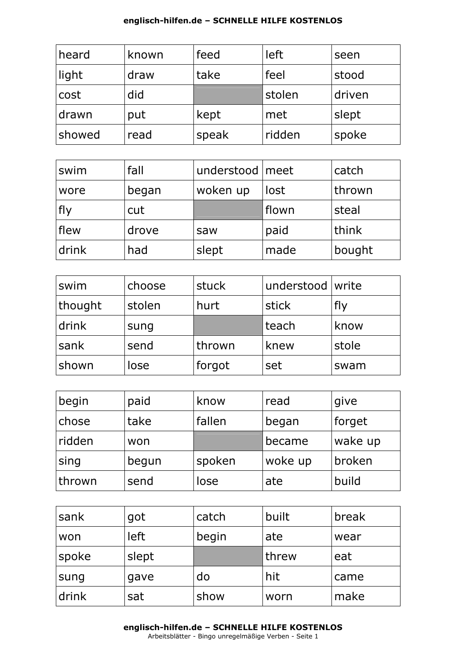| heard  | known | feed  | left   | seen   |
|--------|-------|-------|--------|--------|
| light  | draw  | take  | feel   | stood  |
| cost   | did   |       | stolen | driven |
| drawn  | put   | kept  | met    | slept  |
| showed | read  | speak | ridden | spoke  |

| swim        | fall  | understood   meet |       | catch  |
|-------------|-------|-------------------|-------|--------|
| wore        | began | woken up          | lost  | thrown |
| fly         | cut   |                   | flown | steal  |
| <b>flew</b> | drove | saw               | paid  | think  |
| drink       | had   | slept             | made  | bought |

| swim    | choose | stuck  | understood write |       |
|---------|--------|--------|------------------|-------|
| thought | stolen | hurt   | stick            | fly   |
| drink   | sung   |        | teach            | know  |
| sank    | send   | thrown | knew             | stole |
| shown   | lose   | forgot | set              | swam  |

| begin  | paid  | know   | read    | give    |
|--------|-------|--------|---------|---------|
| chose  | take  | fallen | began   | forget  |
| ridden | won   |        | became  | wake up |
| sing   | begun | spoken | woke up | broken  |
| thrown | send  | lose   | ate     | build   |

| sank  | got   | catch | built | break |
|-------|-------|-------|-------|-------|
| won   | left  | begin | ate   | wear  |
| spoke | slept |       | threw | eat   |
| sung  | gave  | do    | hit   | came  |
| drink | sat   | show  | worn  | make  |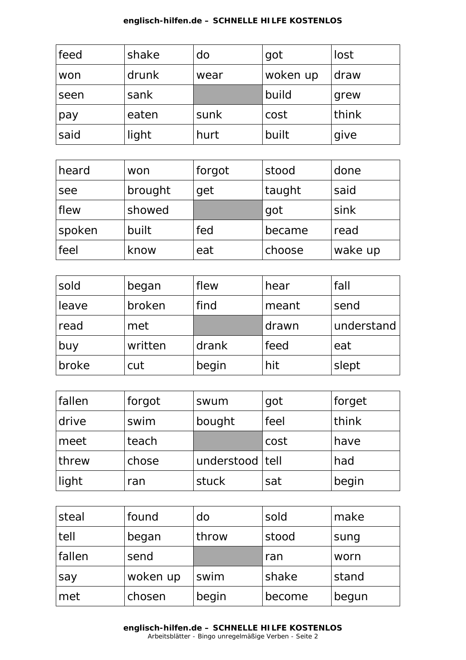| feed | shake | do   | got      | lost  |
|------|-------|------|----------|-------|
| won  | drunk | wear | woken up | draw  |
| seen | sank  |      | build    | grew  |
| pay  | eaten | sunk | cost     | think |
| said | light | hurt | built    | give  |

| heard       | won     | forgot | stood  | done    |
|-------------|---------|--------|--------|---------|
| see         | brought | get    | taught | said    |
| <b>flew</b> | showed  |        | got    | sink    |
| spoken      | built   | fed    | became | read    |
| feel        | know    | eat    | choose | wake up |

| sold  | began   | flew  | hear  | fall       |
|-------|---------|-------|-------|------------|
| leave | broken  | find  | meant | send       |
| read  | met     |       | drawn | understand |
| buy   | written | drank | feed  | eat        |
| broke | cut     | begin | hit   | slept      |

| fallen | forgot | swum              | got  | forget |
|--------|--------|-------------------|------|--------|
| drive  | swim   | bought            | feel | think  |
| meet   | teach  |                   | cost | have   |
| threw  | chose  | understood   tell |      | had    |
| light  | ran    | stuck             | sat  | begin  |

| steal  | found    | do    | sold   | make  |
|--------|----------|-------|--------|-------|
| tell   | began    | throw | stood  | sung  |
| fallen | send     |       | ran    | worn  |
| say    | woken up | swim  | shake  | stand |
| met    | chosen   | begin | become | begun |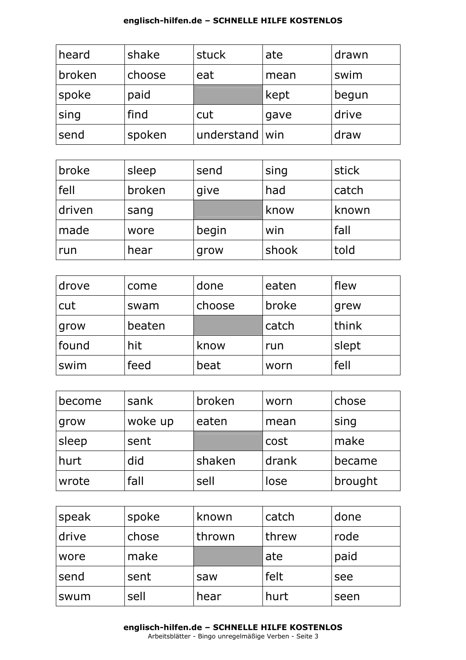| heard  | shake  | stuck            | ate  | drawn |
|--------|--------|------------------|------|-------|
| broken | choose | eat              | mean | swim  |
| 'spoke | paid   |                  | kept | begun |
| sing   | find   | cut              | gave | drive |
| send   | spoken | understand   win |      | draw  |

| broke  | sleep  | send  | sing  | stick |
|--------|--------|-------|-------|-------|
| fell   | broken | give  | had   | catch |
| driven | sang   |       | know  | known |
| made   | wore   | begin | win   | fall  |
| run    | hear   | grow  | shook | told  |

| drove | come   | done   | eaten | flew  |
|-------|--------|--------|-------|-------|
| cut   | swam   | choose | broke | grew  |
| grow  | beaten |        | catch | think |
| found | hit    | know   | run   | slept |
| swim  | feed   | beat   | worn  | fell  |

| become | sank    | broken | worn  | chose   |
|--------|---------|--------|-------|---------|
| grow   | woke up | eaten  | mean  | sing    |
| sleep  | sent    |        | cost  | make    |
| hurt   | did     | shaken | drank | became  |
| wrote  | fall    | sell   | lose  | brought |

| 'speak | spoke | known  | catch | done |
|--------|-------|--------|-------|------|
| drive  | chose | thrown | threw | rode |
| wore   | make  |        | ate   | paid |
| send   | sent  | saw    | felt  | see  |
| swum   | sell  | hear   | hurt  | seen |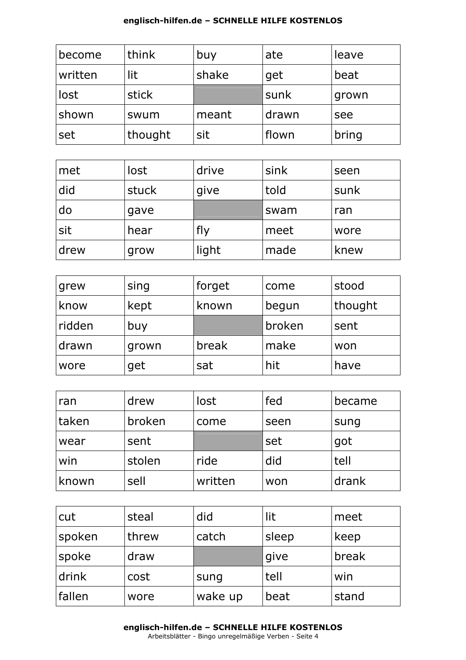| become  | think   | buy   | ate   | leave |
|---------|---------|-------|-------|-------|
| written | lit     | shake | get   | beat  |
| lost    | stick   |       | sunk  | grown |
| shown   | swum    | meant | drawn | see   |
| set     | thought | sit   | flown | bring |

| met  | lost  | drive | sink | seen |
|------|-------|-------|------|------|
| did  | stuck | give  | told | sunk |
| do   | gave  |       | swam | ran  |
| sit  | hear  | fly   | meet | wore |
| drew | grow  | light | made | knew |

| grew   | sing  | forget | come   | stood   |
|--------|-------|--------|--------|---------|
| know   | kept  | known  | begun  | thought |
| ridden | buy   |        | broken | sent    |
| drawn  | grown | break  | make   | won     |
| wore   | get   | sat    | hit    | have    |

| ran   | drew   | lost    | fed  | became |
|-------|--------|---------|------|--------|
| taken | broken | come    | seen | sung   |
| wear  | sent   |         | set  | got    |
| win   | stolen | ride    | did  | tell   |
| known | sell   | written | won  | drank  |

| cut    | steal | did     | lit   | meet  |
|--------|-------|---------|-------|-------|
| spoken | threw | catch   | sleep | keep  |
| spoke  | draw  |         | give  | break |
| drink  | cost  | sung    | tell  | win   |
| fallen | wore  | wake up | beat  | stand |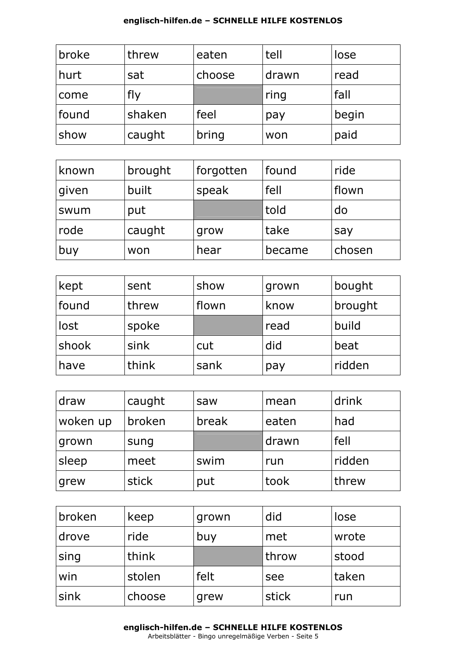| broke | threw  | eaten  | tell  | lose  |
|-------|--------|--------|-------|-------|
| hurt  | sat    | choose | drawn | read  |
| come  | fly    |        | ring  | fall  |
| found | shaken | feel   | pay   | begin |
| show  | caught | bring  | won   | paid  |

| known | brought | forgotten | found  | ride   |
|-------|---------|-----------|--------|--------|
| given | built   | speak     | fell   | flown  |
| swum  | put     |           | told   | do     |
| rode  | caught  | grow      | take   | say    |
| buy   | won     | hear      | became | chosen |

| kept  | sent  | show  | grown | bought  |
|-------|-------|-------|-------|---------|
| found | threw | flown | know  | brought |
| lost  | spoke |       | read  | build   |
| shook | sink  | cut   | did   | beat    |
| have  | think | sank  | pay   | ridden  |

| draw     | caught | saw   | mean  | drink  |
|----------|--------|-------|-------|--------|
| woken up | broken | break | eaten | had    |
| grown    | sung   |       | drawn | fell   |
| sleep    | meet   | swim  | run   | ridden |
| grew     | stick  | put   | took  | threw  |

| broken | keep   | grown | did   | lose  |
|--------|--------|-------|-------|-------|
| drove  | ride   | buy   | met   | wrote |
| sing   | think  |       | throw | stood |
| win    | stolen | felt  | see   | taken |
| sink   | choose | grew  | stick | run   |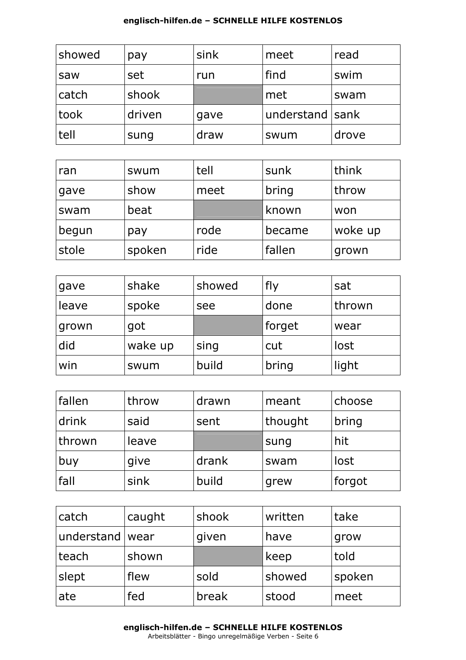| showed | pay    | sink | meet            | read  |
|--------|--------|------|-----------------|-------|
| saw    | set    | run  | find            | swim  |
| catch  | shook  |      | met             | swam  |
| took   | driven | gave | understand sank |       |
| tell   | sung   | draw | swum            | drove |

| ran   | swum   | tell | sunk   | think   |
|-------|--------|------|--------|---------|
| gave  | show   | meet | bring  | throw   |
| swam  | beat   |      | known  | won     |
| begun | pay    | rode | became | woke up |
| stole | spoken | ride | fallen | grown   |

| gave  | shake   | showed | fly    | sat    |
|-------|---------|--------|--------|--------|
| leave | spoke   | see    | done   | thrown |
| grown | got     |        | forget | wear   |
| did   | wake up | sing   | cut    | lost   |
| win   | swum    | build  | bring  | light  |

| fallen | throw | drawn | meant   | choose |
|--------|-------|-------|---------|--------|
| drink  | said  | sent  | thought | bring  |
| thrown | leave |       | sung    | hit    |
| buy    | give  | drank | swam    | lost   |
| fall   | sink  | build | grew    | forgot |

| catch             | caught | shook | written | take   |
|-------------------|--------|-------|---------|--------|
| understand   wear |        | given | have    | grow   |
| teach             | shown  |       | keep    | told   |
| slept             | flew   | sold  | showed  | spoken |
| ate               | fed    | break | stood   | meet   |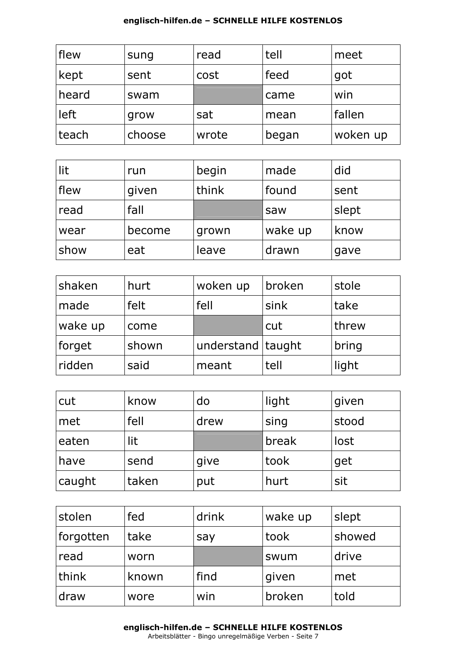| flew  | sung   | read  | tell  | meet     |
|-------|--------|-------|-------|----------|
| kept  | sent   | cost  | feed  | got      |
| heard | swam   |       | came  | win      |
| left  | grow   | sat   | mean  | fallen   |
| teach | choose | wrote | began | woken up |

| lit         | run    | begin | made    | did   |
|-------------|--------|-------|---------|-------|
| <b>flew</b> | given  | think | found   | sent  |
| read        | fall   |       | saw     | slept |
| wear        | become | grown | wake up | know  |
| show        | eat    | leave | drawn   | gave  |

| shaken  | hurt  | woken up          | broken | stole |
|---------|-------|-------------------|--------|-------|
| made    | felt  | fell              | sink   | take  |
| wake up | come  |                   | cut    | threw |
| forget  | shown | understand taught |        | bring |
| ridden  | said  | meant             | tell   | light |

| cut    | know  | do   | light | given |
|--------|-------|------|-------|-------|
| met    | fell  | drew | sing  | stood |
| eaten  | lit   |      | break | lost  |
| have   | send  | give | took  | get   |
| caught | taken | put  | hurt  | sit   |

| stolen    | fed   | drink | wake up | slept  |
|-----------|-------|-------|---------|--------|
| forgotten | take  | say   | took    | showed |
| read      | worn  |       | swum    | drive  |
| think     | known | find  | given   | met    |
| draw      | wore  | win   | broken  | told   |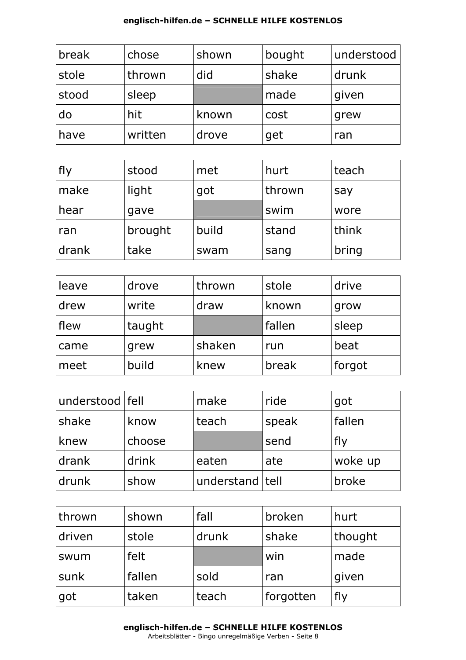| break | chose   | shown | bought | understood |
|-------|---------|-------|--------|------------|
| stole | thrown  | did   | shake  | drunk      |
| stood | sleep   |       | made   | given      |
| do    | hit     | known | cost   | grew       |
| have  | written | drove | get    | ran        |

| <b>fly</b> | stood   | met   | hurt   | teach |
|------------|---------|-------|--------|-------|
| make       | light   | got   | thrown | say   |
| hear       | gave    |       | swim   | wore  |
| ran        | brought | build | stand  | think |
| drank      | take    | swam  | sang   | bring |

| leave | drove  | thrown | stole  | drive  |
|-------|--------|--------|--------|--------|
| drew  | write  | draw   | known  | grow   |
| flew  | taught |        | fallen | sleep  |
| came  | grew   | shaken | run    | beat   |
| meet  | build  | knew   | break  | forgot |

| understood   fell |        | make              | ride  | got     |
|-------------------|--------|-------------------|-------|---------|
| shake             | know   | teach             | speak | fallen  |
| knew              | choose |                   | send  | fly     |
| drank             | drink  | eaten             | ate   | woke up |
| drunk             | show   | understand   tell |       | broke   |

| thrown | shown  | fall  | broken    | hurt    |
|--------|--------|-------|-----------|---------|
| driven | stole  | drunk | shake     | thought |
| swum   | felt   |       | win       | made    |
| sunk   | fallen | sold  | ran       | given   |
| got    | taken  | teach | forgotten | flv     |